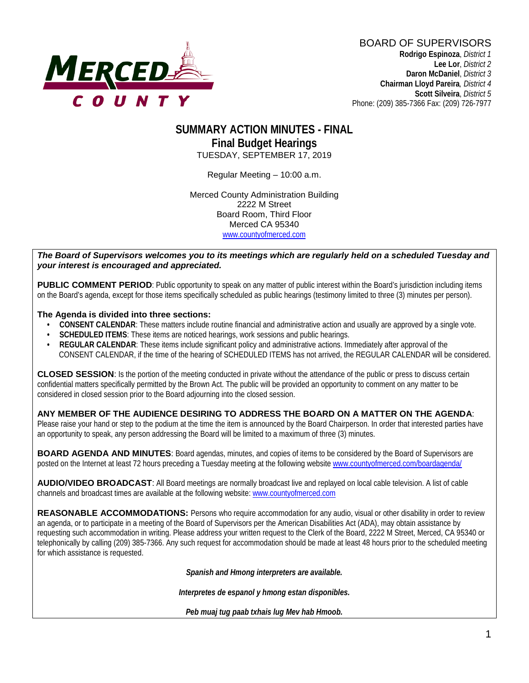

#### **SUMMARY ACTION MINUTES - FINAL Final Budget Hearings** TUESDAY, SEPTEMBER 17, 2019

Regular Meeting – 10:00 a.m.

Merced County Administration Building 2222 M Street Board Room, Third Floor Merced CA 95340 www.countyofmerced.com

*The Board of Supervisors welcomes you to its meetings which are regularly held on a scheduled Tuesday and your interest is encouraged and appreciated.*

**PUBLIC COMMENT PERIOD**: Public opportunity to speak on any matter of public interest within the Board's jurisdiction including items on the Board's agenda, except for those items specifically scheduled as public hearings (testimony limited to three (3) minutes per person).

#### **The Agenda is divided into three sections:**

- **CONSENT CALENDAR**: These matters include routine financial and administrative action and usually are approved by a single vote.
- **SCHEDULED ITEMS:** These items are noticed hearings, work sessions and public hearings.
- **REGULAR CALENDAR**: These items include significant policy and administrative actions. Immediately after approval of the CONSENT CALENDAR, if the time of the hearing of SCHEDULED ITEMS has not arrived, the REGULAR CALENDAR will be considered.

**CLOSED SESSION**: Is the portion of the meeting conducted in private without the attendance of the public or press to discuss certain confidential matters specifically permitted by the Brown Act. The public will be provided an opportunity to comment on any matter to be considered in closed session prior to the Board adjourning into the closed session.

#### **ANY MEMBER OF THE AUDIENCE DESIRING TO ADDRESS THE BOARD ON A MATTER ON THE AGENDA**:

Please raise your hand or step to the podium at the time the item is announced by the Board Chairperson. In order that interested parties have an opportunity to speak, any person addressing the Board will be limited to a maximum of three (3) minutes.

**BOARD AGENDA AND MINUTES:** Board agendas, minutes, and copies of items to be considered by the Board of Supervisors are posted on the Internet at least 72 hours preceding a Tuesday meeting at the following website [www.countyofmerced.com/boardagenda/](http://www.countyofmerced.com/boardagenda/) 

**AUDIO/VIDEO BROADCAST**: All Board meetings are normally broadcast live and replayed on local cable television. A list of cable channels and broadcast times are available at the following website[: www.countyofmerced.com](http://www.countyofmerced.com/)

**REASONABLE ACCOMMODATIONS:** Persons who require accommodation for any audio, visual or other disability in order to review an agenda, or to participate in a meeting of the Board of Supervisors per the American Disabilities Act (ADA), may obtain assistance by requesting such accommodation in writing. Please address your written request to the Clerk of the Board, 2222 M Street, Merced, CA 95340 or telephonically by calling (209) 385-7366. Any such request for accommodation should be made at least 48 hours prior to the scheduled meeting for which assistance is requested.

*Spanish and Hmong interpreters are available.*

*Interpretes de espanol y hmong estan disponibles.*

*Peb muaj tug paab txhais lug Mev hab Hmoob.*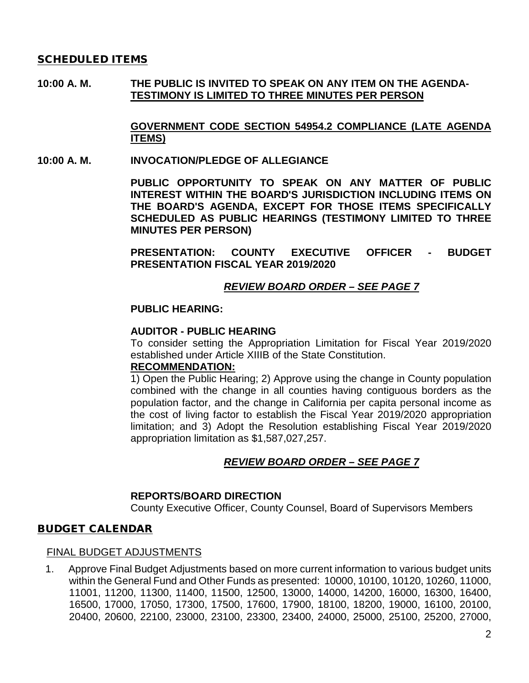#### SCHEDULED ITEMS

**10:00 A. M. THE PUBLIC IS INVITED TO SPEAK ON ANY ITEM ON THE AGENDA-TESTIMONY IS LIMITED TO THREE MINUTES PER PERSON**

> **GOVERNMENT CODE SECTION 54954.2 COMPLIANCE (LATE AGENDA ITEMS)**

#### **10:00 A. M. INVOCATION/PLEDGE OF ALLEGIANCE**

**PUBLIC OPPORTUNITY TO SPEAK ON ANY MATTER OF PUBLIC INTEREST WITHIN THE BOARD'S JURISDICTION INCLUDING ITEMS ON THE BOARD'S AGENDA, EXCEPT FOR THOSE ITEMS SPECIFICALLY SCHEDULED AS PUBLIC HEARINGS (TESTIMONY LIMITED TO THREE MINUTES PER PERSON)**

**PRESENTATION: COUNTY EXECUTIVE OFFICER - BUDGET PRESENTATION FISCAL YEAR 2019/2020**

#### *REVIEW BOARD ORDER – SEE PAGE 7*

#### **PUBLIC HEARING:**

#### **AUDITOR - PUBLIC HEARING**

To consider setting the Appropriation Limitation for Fiscal Year 2019/2020 established under Article XIIIB of the State Constitution.

#### **RECOMMENDATION:**

1) Open the Public Hearing; 2) Approve using the change in County population combined with the change in all counties having contiguous borders as the population factor, and the change in California per capita personal income as the cost of living factor to establish the Fiscal Year 2019/2020 appropriation limitation; and 3) Adopt the Resolution establishing Fiscal Year 2019/2020 appropriation limitation as \$1,587,027,257.

#### *REVIEW BOARD ORDER – SEE PAGE 7*

#### **REPORTS/BOARD DIRECTION**

County Executive Officer, County Counsel, Board of Supervisors Members

#### BUDGET CALENDAR

#### FINAL BUDGET ADJUSTMENTS

1. Approve Final Budget Adjustments based on more current information to various budget units within the General Fund and Other Funds as presented: 10000, 10100, 10120, 10260, 11000, 11001, 11200, 11300, 11400, 11500, 12500, 13000, 14000, 14200, 16000, 16300, 16400, 16500, 17000, 17050, 17300, 17500, 17600, 17900, 18100, 18200, 19000, 16100, 20100, 20400, 20600, 22100, 23000, 23100, 23300, 23400, 24000, 25000, 25100, 25200, 27000,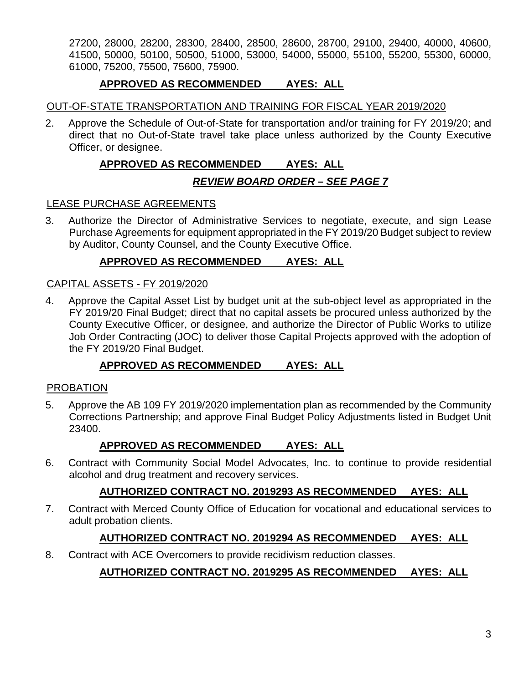27200, 28000, 28200, 28300, 28400, 28500, 28600, 28700, 29100, 29400, 40000, 40600, 41500, 50000, 50100, 50500, 51000, 53000, 54000, 55000, 55100, 55200, 55300, 60000, 61000, 75200, 75500, 75600, 75900.

#### **APPROVED AS RECOMMENDED AYES: ALL**

#### OUT-OF-STATE TRANSPORTATION AND TRAINING FOR FISCAL YEAR 2019/2020

2. Approve the Schedule of Out-of-State for transportation and/or training for FY 2019/20; and direct that no Out-of-State travel take place unless authorized by the County Executive Officer, or designee.

## **APPROVED AS RECOMMENDED AYES: ALL**

## *REVIEW BOARD ORDER – SEE PAGE 7*

#### LEASE PURCHASE AGREEMENTS

3. Authorize the Director of Administrative Services to negotiate, execute, and sign Lease Purchase Agreements for equipment appropriated in the FY 2019/20 Budget subject to review by Auditor, County Counsel, and the County Executive Office.

## **APPROVED AS RECOMMENDED AYES: ALL**

#### CAPITAL ASSETS - FY 2019/2020

4. Approve the Capital Asset List by budget unit at the sub-object level as appropriated in the FY 2019/20 Final Budget; direct that no capital assets be procured unless authorized by the County Executive Officer, or designee, and authorize the Director of Public Works to utilize Job Order Contracting (JOC) to deliver those Capital Projects approved with the adoption of the FY 2019/20 Final Budget.

## **APPROVED AS RECOMMENDED AYES: ALL**

#### PROBATION

5. Approve the AB 109 FY 2019/2020 implementation plan as recommended by the Community Corrections Partnership; and approve Final Budget Policy Adjustments listed in Budget Unit 23400.

## **APPROVED AS RECOMMENDED AYES: ALL**

6. Contract with Community Social Model Advocates, Inc. to continue to provide residential alcohol and drug treatment and recovery services.

## **AUTHORIZED CONTRACT NO. 2019293 AS RECOMMENDED AYES: ALL**

7. Contract with Merced County Office of Education for vocational and educational services to adult probation clients.

## **AUTHORIZED CONTRACT NO. 2019294 AS RECOMMENDED AYES: ALL**

8. Contract with ACE Overcomers to provide recidivism reduction classes.

## **AUTHORIZED CONTRACT NO. 2019295 AS RECOMMENDED AYES: ALL**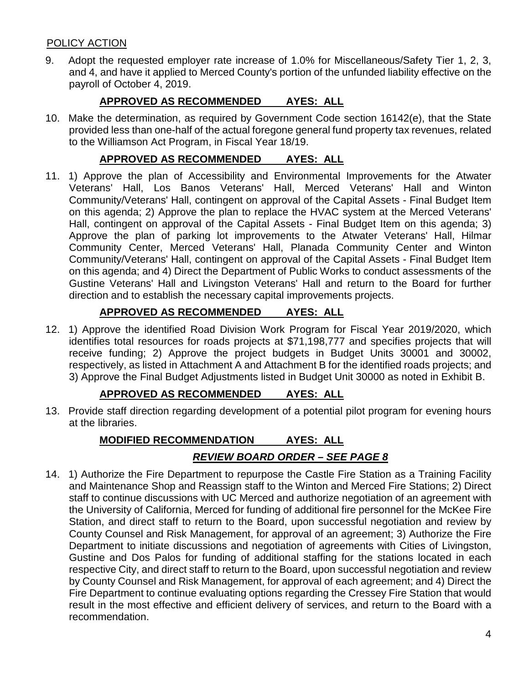## POLICY ACTION

9. Adopt the requested employer rate increase of 1.0% for Miscellaneous/Safety Tier 1, 2, 3, and 4, and have it applied to Merced County's portion of the unfunded liability effective on the payroll of October 4, 2019.

## **APPROVED AS RECOMMENDED AYES: ALL**

10. Make the determination, as required by Government Code section 16142(e), that the State provided less than one-half of the actual foregone general fund property tax revenues, related to the Williamson Act Program, in Fiscal Year 18/19.

## **APPROVED AS RECOMMENDED AYES: ALL**

11. 1) Approve the plan of Accessibility and Environmental Improvements for the Atwater Veterans' Hall, Los Banos Veterans' Hall, Merced Veterans' Hall and Winton Community/Veterans' Hall, contingent on approval of the Capital Assets - Final Budget Item on this agenda; 2) Approve the plan to replace the HVAC system at the Merced Veterans' Hall, contingent on approval of the Capital Assets - Final Budget Item on this agenda; 3) Approve the plan of parking lot improvements to the Atwater Veterans' Hall, Hilmar Community Center, Merced Veterans' Hall, Planada Community Center and Winton Community/Veterans' Hall, contingent on approval of the Capital Assets - Final Budget Item on this agenda; and 4) Direct the Department of Public Works to conduct assessments of the Gustine Veterans' Hall and Livingston Veterans' Hall and return to the Board for further direction and to establish the necessary capital improvements projects.

## **APPROVED AS RECOMMENDED AYES: ALL**

12. 1) Approve the identified Road Division Work Program for Fiscal Year 2019/2020, which identifies total resources for roads projects at \$71,198,777 and specifies projects that will receive funding; 2) Approve the project budgets in Budget Units 30001 and 30002, respectively, as listed in Attachment A and Attachment B for the identified roads projects; and 3) Approve the Final Budget Adjustments listed in Budget Unit 30000 as noted in Exhibit B.

## **APPROVED AS RECOMMENDED AYES: ALL**

13. Provide staff direction regarding development of a potential pilot program for evening hours at the libraries.

# **MODIFIED RECOMMENDATION AYES: ALL**

## *REVIEW BOARD ORDER – SEE PAGE 8*

14. 1) Authorize the Fire Department to repurpose the Castle Fire Station as a Training Facility and Maintenance Shop and Reassign staff to the Winton and Merced Fire Stations; 2) Direct staff to continue discussions with UC Merced and authorize negotiation of an agreement with the University of California, Merced for funding of additional fire personnel for the McKee Fire Station, and direct staff to return to the Board, upon successful negotiation and review by County Counsel and Risk Management, for approval of an agreement; 3) Authorize the Fire Department to initiate discussions and negotiation of agreements with Cities of Livingston, Gustine and Dos Palos for funding of additional staffing for the stations located in each respective City, and direct staff to return to the Board, upon successful negotiation and review by County Counsel and Risk Management, for approval of each agreement; and 4) Direct the Fire Department to continue evaluating options regarding the Cressey Fire Station that would result in the most effective and efficient delivery of services, and return to the Board with a recommendation.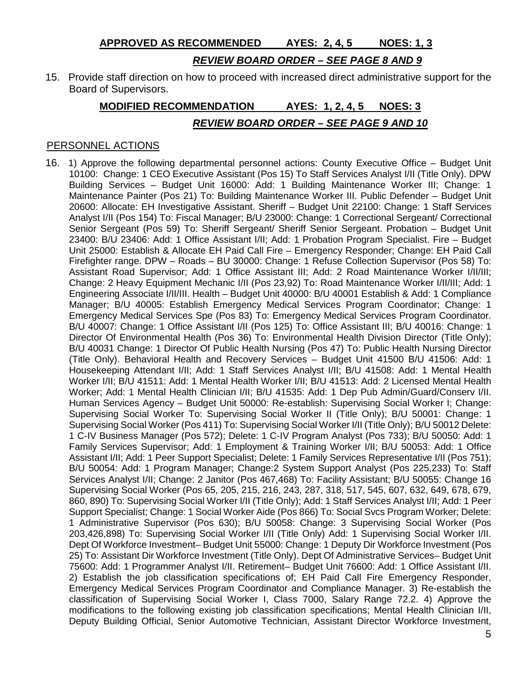**APPROVED AS RECOMMENDED AYES: 2, 4, 5 NOES: 1, 3**

#### *REVIEW BOARD ORDER – SEE PAGE 8 AND 9*

15. Provide staff direction on how to proceed with increased direct administrative support for the Board of Supervisors.

## **MODIFIED RECOMMENDATION AYES: 1, 2, 4, 5 NOES: 3** *REVIEW BOARD ORDER – SEE PAGE 9 AND 10*

#### PERSONNEL ACTIONS

16. 1) Approve the following departmental personnel actions: County Executive Office – Budget Unit 10100: Change: 1 CEO Executive Assistant (Pos 15) To Staff Services Analyst I/II (Title Only). DPW Building Services – Budget Unit 16000: Add: 1 Building Maintenance Worker III; Change: 1 Maintenance Painter (Pos 21) To: Building Maintenance Worker III. Public Defender – Budget Unit 20600: Allocate: EH Investigative Assistant. Sheriff – Budget Unit 22100: Change: 1 Staff Services Analyst I/II (Pos 154) To: Fiscal Manager; B/U 23000: Change: 1 Correctional Sergeant/ Correctional Senior Sergeant (Pos 59) To: Sheriff Sergeant/ Sheriff Senior Sergeant. Probation – Budget Unit 23400: B/U 23406: Add: 1 Office Assistant I/II; Add: 1 Probation Program Specialist. Fire – Budget Unit 25000: Establish & Allocate EH Paid Call Fire – Emergency Responder; Change: EH Paid Call Firefighter range. DPW – Roads – BU 30000: Change: 1 Refuse Collection Supervisor (Pos 58) To: Assistant Road Supervisor; Add: 1 Office Assistant III; Add: 2 Road Maintenance Worker I/II/III; Change: 2 Heavy Equipment Mechanic I/II (Pos 23,92) To: Road Maintenance Worker I/II/III; Add: 1 Engineering Associate I/II/III. Health – Budget Unit 40000: B/U 40001 Establish & Add: 1 Compliance Manager; B/U 40005: Establish Emergency Medical Services Program Coordinator; Change: 1 Emergency Medical Services Spe (Pos 83) To: Emergency Medical Services Program Coordinator. B/U 40007: Change: 1 Office Assistant I/II (Pos 125) To: Office Assistant III; B/U 40016: Change: 1 Director Of Environmental Health (Pos 36) To: Environmental Health Division Director (Title Only); B/U 40031 Change: 1 Director Of Public Health Nursing (Pos 47) To: Public Health Nursing Director (Title Only). Behavioral Health and Recovery Services – Budget Unit 41500 B/U 41506: Add: 1 Housekeeping Attendant I/II; Add: 1 Staff Services Analyst I/II; B/U 41508: Add: 1 Mental Health Worker I/II; B/U 41511: Add: 1 Mental Health Worker I/II; B/U 41513: Add: 2 Licensed Mental Health Worker; Add: 1 Mental Health Clinician I/II; B/U 41535: Add: 1 Dep Pub Admin/Guard/Conserv I/II. Human Services Agency – Budget Unit 50000: Re-establish: Supervising Social Worker I; Change: Supervising Social Worker To: Supervising Social Worker II (Title Only); B/U 50001: Change: 1 Supervising Social Worker (Pos 411) To: Supervising Social Worker I/II (Title Only); B/U 50012 Delete: 1 C-IV Business Manager (Pos 572); Delete: 1 C-IV Program Analyst (Pos 733); B/U 50050: Add: 1 Family Services Supervisor; Add: 1 Employment & Training Worker I/II; B/U 50053: Add: 1 Office Assistant I/II; Add: 1 Peer Support Specialist; Delete: 1 Family Services Representative I/II (Pos 751); B/U 50054: Add: 1 Program Manager; Change:2 System Support Analyst (Pos 225,233) To: Staff Services Analyst I/II; Change: 2 Janitor (Pos 467,468) To: Facility Assistant; B/U 50055: Change 16 Supervising Social Worker (Pos 65, 205, 215, 216, 243, 287, 318, 517, 545, 607, 632, 649, 678, 679, 860, 890) To: Supervising Social Worker I/II (Title Only); Add: 1 Staff Services Analyst I/II; Add: 1 Peer Support Specialist; Change: 1 Social Worker Aide (Pos 866) To: Social Svcs Program Worker; Delete: 1 Administrative Supervisor (Pos 630); B/U 50058: Change: 3 Supervising Social Worker (Pos 203,426,898) To: Supervising Social Worker I/II (Title Only) Add: 1 Supervising Social Worker I/II. Dept Of Workforce Investment– Budget Unit 55000: Change: 1 Deputy Dir Workforce Investment (Pos 25) To: Assistant Dir Workforce Investment (Title Only). Dept Of Administrative Services– Budget Unit 75600: Add: 1 Programmer Analyst I/II. Retirement– Budget Unit 76600: Add: 1 Office Assistant I/II. 2) Establish the job classification specifications of; EH Paid Call Fire Emergency Responder, Emergency Medical Services Program Coordinator and Compliance Manager. 3) Re-establish the classification of Supervising Social Worker I, Class 7000, Salary Range 72.2. 4) Approve the modifications to the following existing job classification specifications; Mental Health Clinician I/II, Deputy Building Official, Senior Automotive Technician, Assistant Director Workforce Investment,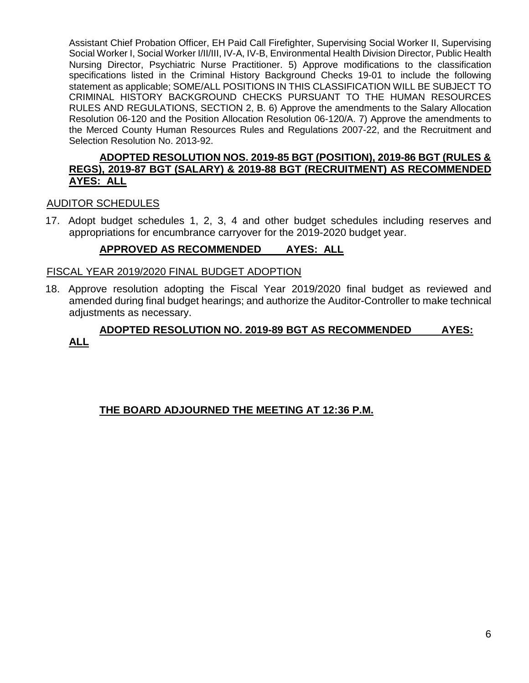Assistant Chief Probation Officer, EH Paid Call Firefighter, Supervising Social Worker II, Supervising Social Worker I, Social Worker I/II/III, IV-A, IV-B, Environmental Health Division Director, Public Health Nursing Director, Psychiatric Nurse Practitioner. 5) Approve modifications to the classification specifications listed in the Criminal History Background Checks 19-01 to include the following statement as applicable; SOME/ALL POSITIONS IN THIS CLASSIFICATION WILL BE SUBJECT TO CRIMINAL HISTORY BACKGROUND CHECKS PURSUANT TO THE HUMAN RESOURCES RULES AND REGULATIONS, SECTION 2, B. 6) Approve the amendments to the Salary Allocation Resolution 06-120 and the Position Allocation Resolution 06-120/A. 7) Approve the amendments to the Merced County Human Resources Rules and Regulations 2007-22, and the Recruitment and Selection Resolution No. 2013-92.

#### **ADOPTED RESOLUTION NOS. 2019-85 BGT (POSITION), 2019-86 BGT (RULES & REGS), 2019-87 BGT (SALARY) & 2019-88 BGT (RECRUITMENT) AS RECOMMENDED AYES: ALL**

## AUDITOR SCHEDULES

17. Adopt budget schedules 1, 2, 3, 4 and other budget schedules including reserves and appropriations for encumbrance carryover for the 2019-2020 budget year.

## **APPROVED AS RECOMMENDED AYES: ALL**

#### FISCAL YEAR 2019/2020 FINAL BUDGET ADOPTION

18. Approve resolution adopting the Fiscal Year 2019/2020 final budget as reviewed and amended during final budget hearings; and authorize the Auditor-Controller to make technical adjustments as necessary.

## **ADOPTED RESOLUTION NO. 2019-89 BGT AS RECOMMENDED AYES: ALL**

## **THE BOARD ADJOURNED THE MEETING AT 12:36 P.M.**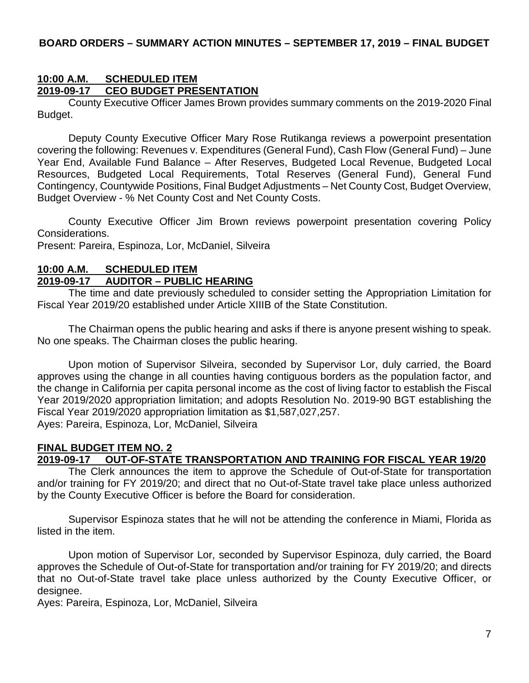## **10:00 A.M. SCHEDULED ITEM 2019-09-17 CEO BUDGET PRESENTATION**

County Executive Officer James Brown provides summary comments on the 2019-2020 Final Budget.

Deputy County Executive Officer Mary Rose Rutikanga reviews a powerpoint presentation covering the following: Revenues v. Expenditures (General Fund), Cash Flow (General Fund) – June Year End, Available Fund Balance – After Reserves, Budgeted Local Revenue, Budgeted Local Resources, Budgeted Local Requirements, Total Reserves (General Fund), General Fund Contingency, Countywide Positions, Final Budget Adjustments – Net County Cost, Budget Overview, Budget Overview - % Net County Cost and Net County Costs.

County Executive Officer Jim Brown reviews powerpoint presentation covering Policy Considerations.

Present: Pareira, Espinoza, Lor, McDaniel, Silveira

#### **10:00 A.M. SCHEDULED ITEM 2019-09-17 AUDITOR – PUBLIC HEARING**

The time and date previously scheduled to consider setting the Appropriation Limitation for Fiscal Year 2019/20 established under Article XIIIB of the State Constitution.

The Chairman opens the public hearing and asks if there is anyone present wishing to speak. No one speaks. The Chairman closes the public hearing.

Upon motion of Supervisor Silveira, seconded by Supervisor Lor, duly carried, the Board approves using the change in all counties having contiguous borders as the population factor, and the change in California per capita personal income as the cost of living factor to establish the Fiscal Year 2019/2020 appropriation limitation; and adopts Resolution No. 2019-90 BGT establishing the Fiscal Year 2019/2020 appropriation limitation as \$1,587,027,257. Ayes: Pareira, Espinoza, Lor, McDaniel, Silveira

# **FINAL BUDGET ITEM NO. 2**

## **2019-09-17 OUT-OF-STATE TRANSPORTATION AND TRAINING FOR FISCAL YEAR 19/20**

The Clerk announces the item to approve the Schedule of Out-of-State for transportation and/or training for FY 2019/20; and direct that no Out-of-State travel take place unless authorized by the County Executive Officer is before the Board for consideration.

Supervisor Espinoza states that he will not be attending the conference in Miami, Florida as listed in the item.

Upon motion of Supervisor Lor, seconded by Supervisor Espinoza, duly carried, the Board approves the Schedule of Out-of-State for transportation and/or training for FY 2019/20; and directs that no Out-of-State travel take place unless authorized by the County Executive Officer, or designee.

Ayes: Pareira, Espinoza, Lor, McDaniel, Silveira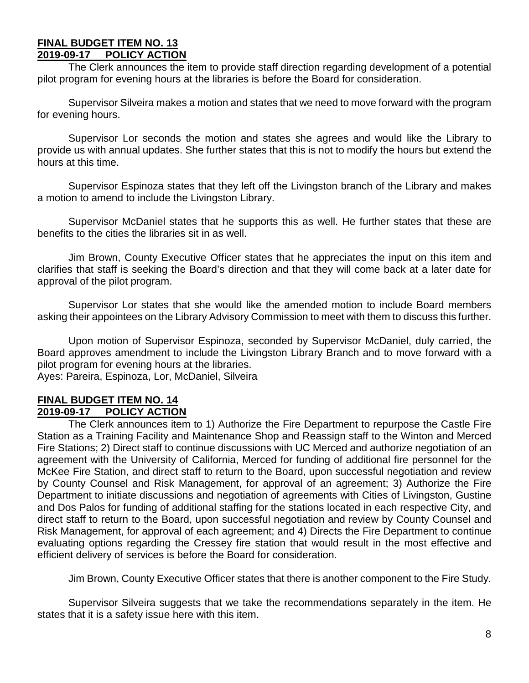#### **FINAL BUDGET ITEM NO. 13 2019-09-17 POLICY ACTION**

The Clerk announces the item to provide staff direction regarding development of a potential pilot program for evening hours at the libraries is before the Board for consideration.

Supervisor Silveira makes a motion and states that we need to move forward with the program for evening hours.

Supervisor Lor seconds the motion and states she agrees and would like the Library to provide us with annual updates. She further states that this is not to modify the hours but extend the hours at this time.

Supervisor Espinoza states that they left off the Livingston branch of the Library and makes a motion to amend to include the Livingston Library.

Supervisor McDaniel states that he supports this as well. He further states that these are benefits to the cities the libraries sit in as well.

Jim Brown, County Executive Officer states that he appreciates the input on this item and clarifies that staff is seeking the Board's direction and that they will come back at a later date for approval of the pilot program.

Supervisor Lor states that she would like the amended motion to include Board members asking their appointees on the Library Advisory Commission to meet with them to discuss this further.

Upon motion of Supervisor Espinoza, seconded by Supervisor McDaniel, duly carried, the Board approves amendment to include the Livingston Library Branch and to move forward with a pilot program for evening hours at the libraries.

Ayes: Pareira, Espinoza, Lor, McDaniel, Silveira

#### **FINAL BUDGET ITEM NO. 14 2019-09-17 POLICY ACTION**

The Clerk announces item to 1) Authorize the Fire Department to repurpose the Castle Fire Station as a Training Facility and Maintenance Shop and Reassign staff to the Winton and Merced Fire Stations; 2) Direct staff to continue discussions with UC Merced and authorize negotiation of an agreement with the University of California, Merced for funding of additional fire personnel for the McKee Fire Station, and direct staff to return to the Board, upon successful negotiation and review by County Counsel and Risk Management, for approval of an agreement; 3) Authorize the Fire Department to initiate discussions and negotiation of agreements with Cities of Livingston, Gustine and Dos Palos for funding of additional staffing for the stations located in each respective City, and direct staff to return to the Board, upon successful negotiation and review by County Counsel and Risk Management, for approval of each agreement; and 4) Directs the Fire Department to continue evaluating options regarding the Cressey fire station that would result in the most effective and efficient delivery of services is before the Board for consideration.

Jim Brown, County Executive Officer states that there is another component to the Fire Study.

Supervisor Silveira suggests that we take the recommendations separately in the item. He states that it is a safety issue here with this item.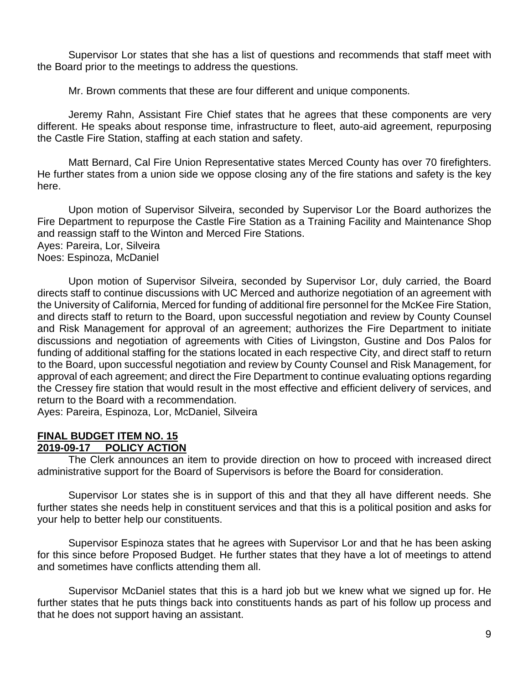Supervisor Lor states that she has a list of questions and recommends that staff meet with the Board prior to the meetings to address the questions.

Mr. Brown comments that these are four different and unique components.

Jeremy Rahn, Assistant Fire Chief states that he agrees that these components are very different. He speaks about response time, infrastructure to fleet, auto-aid agreement, repurposing the Castle Fire Station, staffing at each station and safety.

Matt Bernard, Cal Fire Union Representative states Merced County has over 70 firefighters. He further states from a union side we oppose closing any of the fire stations and safety is the key here.

Upon motion of Supervisor Silveira, seconded by Supervisor Lor the Board authorizes the Fire Department to repurpose the Castle Fire Station as a Training Facility and Maintenance Shop and reassign staff to the Winton and Merced Fire Stations.

Ayes: Pareira, Lor, Silveira Noes: Espinoza, McDaniel

Upon motion of Supervisor Silveira, seconded by Supervisor Lor, duly carried, the Board directs staff to continue discussions with UC Merced and authorize negotiation of an agreement with the University of California, Merced for funding of additional fire personnel for the McKee Fire Station, and directs staff to return to the Board, upon successful negotiation and review by County Counsel and Risk Management for approval of an agreement; authorizes the Fire Department to initiate discussions and negotiation of agreements with Cities of Livingston, Gustine and Dos Palos for funding of additional staffing for the stations located in each respective City, and direct staff to return to the Board, upon successful negotiation and review by County Counsel and Risk Management, for approval of each agreement; and direct the Fire Department to continue evaluating options regarding the Cressey fire station that would result in the most effective and efficient delivery of services, and return to the Board with a recommendation.

Ayes: Pareira, Espinoza, Lor, McDaniel, Silveira

#### **FINAL BUDGET ITEM NO. 15 2019-09-17 POLICY ACTION**

The Clerk announces an item to provide direction on how to proceed with increased direct administrative support for the Board of Supervisors is before the Board for consideration.

Supervisor Lor states she is in support of this and that they all have different needs. She further states she needs help in constituent services and that this is a political position and asks for your help to better help our constituents.

Supervisor Espinoza states that he agrees with Supervisor Lor and that he has been asking for this since before Proposed Budget. He further states that they have a lot of meetings to attend and sometimes have conflicts attending them all.

Supervisor McDaniel states that this is a hard job but we knew what we signed up for. He further states that he puts things back into constituents hands as part of his follow up process and that he does not support having an assistant.